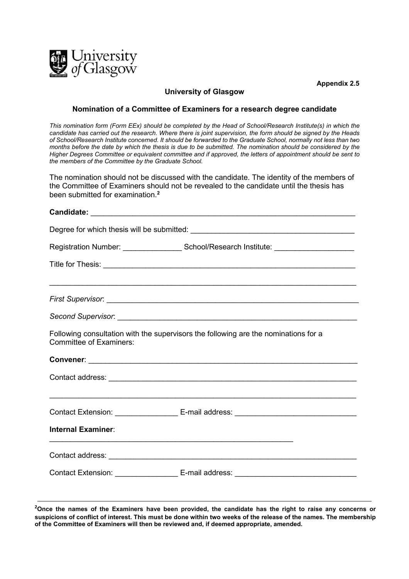

**Appendix 2.5**

## **University of Glasgow**

## **Nomination of a Committee of Examiners for a research degree candidate**

*This nomination form (Form EEx) should be completed by the Head of School/Research Institute(s) in which the candidate has carried out the research. Where there is joint supervision, the form should be signed by the Heads of School/Research Institute concerned. It should be forwarded to the Graduate School, normally not less than two months before the date by which the thesis is due to be submitted. The nomination should be considered by the Higher Degrees Committee or equivalent committee and if approved, the letters of appointment should be sent to the members of the Committee by the Graduate School.*

The nomination should not be discussed with the candidate. The identity of the members of the Committee of Examiners should not be revealed to the candidate until the thesis has been submitted for examination. **2**

| Registration Number: _____________________School/Research Institute: ______________________________                                  |
|--------------------------------------------------------------------------------------------------------------------------------------|
|                                                                                                                                      |
|                                                                                                                                      |
|                                                                                                                                      |
|                                                                                                                                      |
| Following consultation with the supervisors the following are the nominations for a<br><b>Committee of Examiners:</b>                |
|                                                                                                                                      |
|                                                                                                                                      |
|                                                                                                                                      |
|                                                                                                                                      |
| <b>Internal Examiner:</b><br><u> 1999 - John Harry Harry Harry Harry Harry Harry Harry Harry Harry Harry Harry Harry Harry Harry</u> |
|                                                                                                                                      |
|                                                                                                                                      |

**2 Once the names of the Examiners have been provided, the candidate has the right to raise any concerns or suspicions of conflict of interest. This must be done within two weeks of the release of the names. The membership of the Committee of Examiners will then be reviewed and, if deemed appropriate, amended.**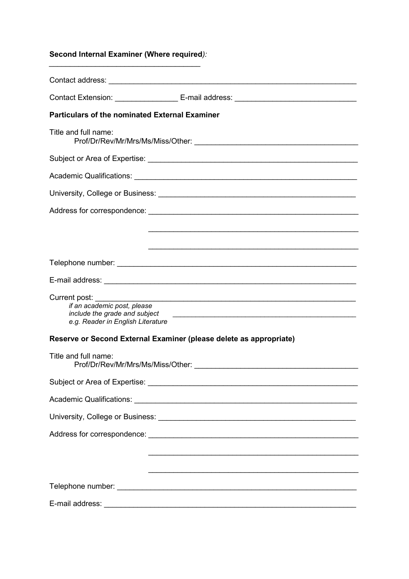## **Second Internal Examiner (Where required***):*

*\_\_\_\_\_\_\_\_\_\_\_\_\_\_\_\_\_\_\_\_\_\_\_\_\_\_\_\_\_\_\_\_\_\_\_\_*

| <b>Particulars of the nominated External Examiner</b>                                                                |  |
|----------------------------------------------------------------------------------------------------------------------|--|
| Title and full name:                                                                                                 |  |
|                                                                                                                      |  |
| Academic Qualifications: Academic Qualifications: Academic Qualifications: Academic Qualifications:                  |  |
|                                                                                                                      |  |
|                                                                                                                      |  |
|                                                                                                                      |  |
| <u> 1990 - 1990 - 1990 - 1990 - 1990 - 1990 - 1990 - 1990 - 1990 - 1990 - 1990 - 1990 - 1990 - 1990 - 1990 - 199</u> |  |
|                                                                                                                      |  |
|                                                                                                                      |  |
| if an academic post, please<br>e.g. Reader in English Literature                                                     |  |
| Reserve or Second External Examiner (please delete as appropriate)                                                   |  |
| Title and full name:                                                                                                 |  |
|                                                                                                                      |  |
|                                                                                                                      |  |
|                                                                                                                      |  |
|                                                                                                                      |  |
|                                                                                                                      |  |
|                                                                                                                      |  |
|                                                                                                                      |  |
|                                                                                                                      |  |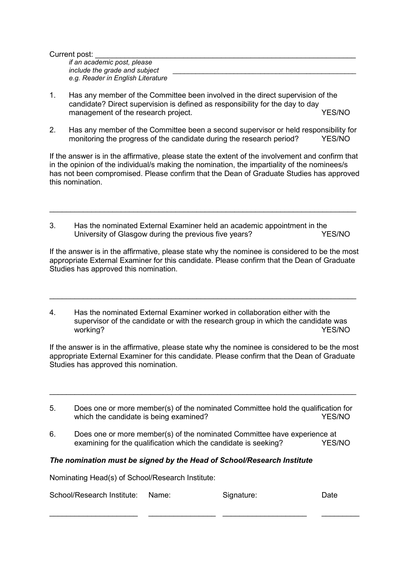| Current post:                     |  |
|-----------------------------------|--|
| if an academic post, please       |  |
| include the grade and subject     |  |
| e.g. Reader in English Literature |  |

- 1. Has any member of the Committee been involved in the direct supervision of the candidate? Direct supervision is defined as responsibility for the day to day management of the research project.
- 2. Has any member of the Committee been a second supervisor or held responsibility for monitoring the progress of the candidate during the research period? YES/NO

If the answer is in the affirmative, please state the extent of the involvement and confirm that in the opinion of the individual/s making the nomination, the impartiality of the nominees/s has not been compromised. Please confirm that the Dean of Graduate Studies has approved this nomination.

3. Has the nominated External Examiner held an academic appointment in the University of Glasgow during the previous five years? YES/NO

\_\_\_\_\_\_\_\_\_\_\_\_\_\_\_\_\_\_\_\_\_\_\_\_\_\_\_\_\_\_\_\_\_\_\_\_\_\_\_\_\_\_\_\_\_\_\_\_\_\_\_\_\_\_\_\_\_\_\_\_\_\_\_\_\_\_\_\_\_\_\_\_\_

If the answer is in the affirmative, please state why the nominee is considered to be the most appropriate External Examiner for this candidate. Please confirm that the Dean of Graduate Studies has approved this nomination.

4. Has the nominated External Examiner worked in collaboration either with the supervisor of the candidate or with the research group in which the candidate was working? The contract of the contract of the contract of the contract of the contract of the contract of the contract of the contract of the contract of the contract of the contract of the contract of the contract of the c

\_\_\_\_\_\_\_\_\_\_\_\_\_\_\_\_\_\_\_\_\_\_\_\_\_\_\_\_\_\_\_\_\_\_\_\_\_\_\_\_\_\_\_\_\_\_\_\_\_\_\_\_\_\_\_\_\_\_\_\_\_\_\_\_\_\_\_\_\_\_\_\_\_

If the answer is in the affirmative, please state why the nominee is considered to be the most appropriate External Examiner for this candidate. Please confirm that the Dean of Graduate Studies has approved this nomination.

5. Does one or more member(s) of the nominated Committee hold the qualification for which the candidate is being examined?  $YES/NO$ 

\_\_\_\_\_\_\_\_\_\_\_\_\_\_\_\_\_\_\_\_\_\_\_\_\_\_\_\_\_\_\_\_\_\_\_\_\_\_\_\_\_\_\_\_\_\_\_\_\_\_\_\_\_\_\_\_\_\_\_\_\_\_\_\_\_\_\_\_\_\_\_\_\_

6. Does one or more member(s) of the nominated Committee have experience at examining for the qualification which the candidate is seeking? YES/NO

## *The nomination must be signed by the Head of School/Research Institute*

Nominating Head(s) of School/Research Institute:

| School/Research Institute: Name: | Signature: | Date |
|----------------------------------|------------|------|
|                                  |            |      |

\_\_\_\_\_\_\_\_\_\_\_\_\_\_\_\_\_\_\_\_\_ \_\_\_\_\_\_\_\_\_\_\_\_\_\_\_\_ \_\_\_\_\_\_\_\_\_\_\_\_\_\_\_\_\_\_\_\_ \_\_\_\_\_\_\_\_\_